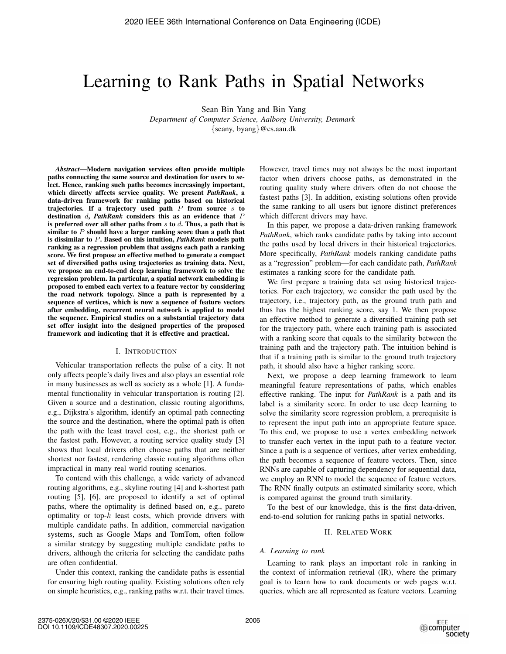# Learning to Rank Paths in Spatial Networks

Sean Bin Yang and Bin Yang

*Department of Computer Science, Aalborg University, Denmark* {seany, byang}@cs.aau.dk

*Abstract*—Modern navigation services often provide multiple paths connecting the same source and destination for users to select. Hence, ranking such paths becomes increasingly important, which directly affects service quality. We present *PathRank*, a data-driven framework for ranking paths based on historical trajectories. If a trajectory used path  $P$  from source  $s$  to destination d, *PathRank* considers this as an evidence that P is preferred over all other paths from  $s$  to  $d$ . Thus, a path that is similar to  $P$  should have a larger ranking score than a path that is dissimilar to P. Based on this intuition, *PathRank* models path ranking as a regression problem that assigns each path a ranking score. We first propose an effective method to generate a compact set of diversified paths using trajectories as training data. Next, we propose an end-to-end deep learning framework to solve the regression problem. In particular, a spatial network embedding is proposed to embed each vertex to a feature vector by considering the road network topology. Since a path is represented by a sequence of vertices, which is now a sequence of feature vectors after embedding, recurrent neural network is applied to model the sequence. Empirical studies on a substantial trajectory data set offer insight into the designed properties of the proposed framework and indicating that it is effective and practical.

#### I. INTRODUCTION

Vehicular transportation reflects the pulse of a city. It not only affects people's daily lives and also plays an essential role in many businesses as well as society as a whole [1]. A fundamental functionality in vehicular transportation is routing [2]. Given a source and a destination, classic routing algorithms, e.g., Dijkstra's algorithm, identify an optimal path connecting the source and the destination, where the optimal path is often the path with the least travel cost, e.g., the shortest path or the fastest path. However, a routing service quality study [3] shows that local drivers often choose paths that are neither shortest nor fastest, rendering classic routing algorithms often impractical in many real world routing scenarios.

To contend with this challenge, a wide variety of advanced routing algorithms, e.g., skyline routing [4] and k-shortest path routing [5], [6], are proposed to identify a set of optimal paths, where the optimality is defined based on, e.g., pareto optimality or top- $k$  least costs, which provide drivers with multiple candidate paths. In addition, commercial navigation systems, such as Google Maps and TomTom, often follow a similar strategy by suggesting multiple candidate paths to drivers, although the criteria for selecting the candidate paths are often confidential.

Under this context, ranking the candidate paths is essential for ensuring high routing quality. Existing solutions often rely on simple heuristics, e.g., ranking paths w.r.t. their travel times.

However, travel times may not always be the most important factor when drivers choose paths, as demonstrated in the routing quality study where drivers often do not choose the fastest paths [3]. In addition, existing solutions often provide the same ranking to all users but ignore distinct preferences which different drivers may have.

In this paper, we propose a data-driven ranking framework *PathRank*, which ranks candidate paths by taking into account the paths used by local drivers in their historical trajectories. More specifically, *PathRank* models ranking candidate paths as a "regression" problem—for each candidate path, *PathRank* estimates a ranking score for the candidate path.

We first prepare a training data set using historical trajectories. For each trajectory, we consider the path used by the trajectory, i.e., trajectory path, as the ground truth path and thus has the highest ranking score, say 1. We then propose an effective method to generate a diversified training path set for the trajectory path, where each training path is associated with a ranking score that equals to the similarity between the training path and the trajectory path. The intuition behind is that if a training path is similar to the ground truth trajectory path, it should also have a higher ranking score.

Next, we propose a deep learning framework to learn meaningful feature representations of paths, which enables effective ranking. The input for *PathRank* is a path and its label is a similarity score. In order to use deep learning to solve the similarity score regression problem, a prerequisite is to represent the input path into an appropriate feature space. To this end, we propose to use a vertex embedding network to transfer each vertex in the input path to a feature vector. Since a path is a sequence of vertices, after vertex embedding, the path becomes a sequence of feature vectors. Then, since RNNs are capable of capturing dependency for sequential data, we employ an RNN to model the sequence of feature vectors. The RNN finally outputs an estimated similarity score, which is compared against the ground truth similarity.

To the best of our knowledge, this is the first data-driven, end-to-end solution for ranking paths in spatial networks.

## II. RELATED WORK

#### *A. Learning to rank*

Learning to rank plays an important role in ranking in the context of information retrieval (IR), where the primary goal is to learn how to rank documents or web pages w.r.t. queries, which are all represented as feature vectors. Learning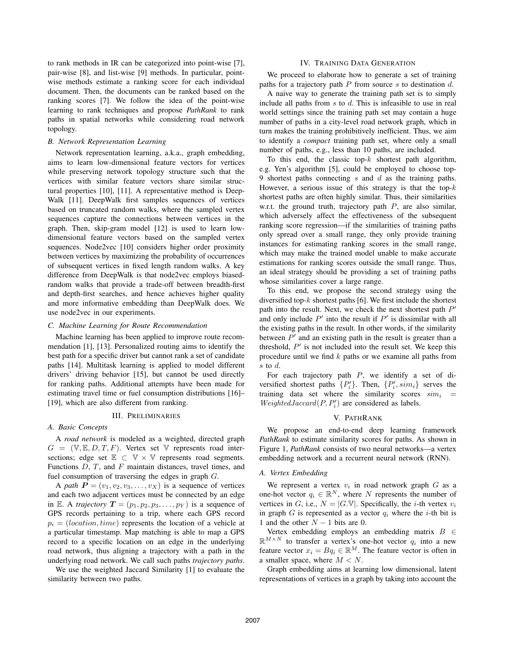to rank methods in IR can be categorized into point-wise [7], pair-wise [8], and list-wise [9] methods. In particular, pointwise methods estimate a ranking score for each individual document. Then, the documents can be ranked based on the ranking scores [7]. We follow the idea of the point-wise learning to rank techniques and propose *PathRank* to rank paths in spatial networks while considering road network topology.

## *B. Network Representation Learning*

Network representation learning, a.k.a., graph embedding, aims to learn low-dimensional feature vectors for vertices while preserving network topology structure such that the vertices with similar feature vectors share similar structural properties [10], [11]. A representative method is Deep-Walk [11]. DeepWalk first samples sequences of vertices based on truncated random walks, where the sampled vertex sequences capture the connections between vertices in the graph. Then, skip-gram model [12] is used to learn lowdimensional feature vectors based on the sampled vertex sequences. Node2vec [10] considers higher order proximity between vertices by maximizing the probability of occurrences of subsequent vertices in fixed length random walks. A key difference from DeepWalk is that node2vec employs biasedrandom walks that provide a trade-off between breadth-first and depth-first searches, and hence achieves higher quality and more informative embedding than DeepWalk does. We use node2vec in our experiments.

#### *C. Machine Learning for Route Recommendation*

Machine learning has been applied to improve route recommendation [1], [13]. Personalized routing aims to identify the best path for a specific driver but cannot rank a set of candidate paths [14]. Multitask learning is applied to model different drivers' driving behavior [15], but cannot be used directly for ranking paths. Additional attempts have been made for estimating travel time or fuel consumption distributions [16]– [19], which are also different from ranking.

#### III. PRELIMINARIES

# *A. Basic Concepts*

A *road network* is modeled as a weighted, directed graph  $G = (\mathbb{V}, \mathbb{E}, D, T, F)$ . Vertex set  $\mathbb{V}$  represents road intersections; edge set  $\mathbb{E} \subset \mathbb{V} \times \mathbb{V}$  represents road segments. Functions  $D, T$ , and  $F$  maintain distances, travel times, and fuel consumption of traversing the edges in graph G.

A *path*  $P = (v_1, v_2, v_3, \dots, v_X)$  is a sequence of vertices and each two adjacent vertices must be connected by an edge in E. A *trajectory*  $T = (p_1, p_2, p_3, \dots, p_Y)$  is a sequence of GPS records pertaining to a trip, where each GPS record  $p_i = (location, time)$  represents the location of a vehicle at a particular timestamp. Map matching is able to map a GPS record to a specific location on an edge in the underlying road network, thus aligning a trajectory with a path in the underlying road network. We call such paths *trajectory paths*.

We use the weighted Jaccard Similarity [1] to evaluate the similarity between two paths.

## IV. TRAINING DATA GENERATION

We proceed to elaborate how to generate a set of training paths for a trajectory path  $P$  from source  $s$  to destination  $d$ .

A naive way to generate the training path set is to simply include all paths from  $s$  to  $d$ . This is infeasible to use in real world settings since the training path set may contain a huge number of paths in a city-level road network graph, which in turn makes the training prohibitively inefficient. Thus, we aim to identify a *compact* training path set, where only a small number of paths, e.g., less than 10 paths, are included.

To this end, the classic top- $k$  shortest path algorithm, e.g. Yen's algorithm [5], could be employed to choose top-9 shortest paths connecting s and  $d$  as the training paths. However, a serious issue of this strategy is that the top- $k$ shortest paths are often highly similar. Thus, their similarities w.r.t. the ground truth, trajectory path  $P$ , are also similar, which adversely affect the effectiveness of the subsequent ranking score regression—if the similarities of training paths only spread over a small range, they only provide training instances for estimating ranking scores in the small range, which may make the trained model unable to make accurate estimations for ranking scores outside the small range. Thus, an ideal strategy should be providing a set of training paths whose similarities cover a large range.

To this end, we propose the second strategy using the diversified top- $k$  shortest paths [6]. We first include the shortest path into the result. Next, we check the next shortest path  $P'$ and only include  $P'$  into the result if  $P'$  is dissimilar with all the existing paths in the result. In other words, if the similarity between  $P'$  and an existing path in the result is greater than a threshold,  $P'$  is not included into the result set. We keep this procedure until we find  $k$  paths or we examine all paths from s to d.

For each trajectory path  $P$ , we identify a set of diversified shortest paths  $\{P'_i\}$ . Then,  $\{P'_i, sim_i\}$  serves the training data set where the similarity scores  $sim<sub>i</sub>$  =  $WeightedJaccard(P, P'_i)$  are considered as labels.

#### V. PATHRANK

We propose an end-to-end deep learning framework *PathRank* to estimate similarity scores for paths. As shown in Figure 1, *PathRank* consists of two neural networks—a vertex embedding network and a recurrent neural network (RNN).

# *A. Vertex Embedding*

We represent a vertex  $v_i$  in road network graph  $G$  as a one-hot vector  $q_i \in \mathbb{R}^N$ , where N represents the number of vertices in G, i.e.,  $N = |G,\mathbb{V}|$ . Specifically, the *i*-th vertex  $v_i$ in graph G is represented as a vector  $q_i$  where the *i*-th bit is 1 and the other  $N - 1$  bits are 0.

Vertex embedding employs an embedding matrix  $B \in$  $\mathbb{R}^{M \times N}$  to transfer a vertex's one-hot vector  $q_i$  into a new feature vector  $x_i = Bq_i \in \mathbb{R}^M$ . The feature vector is often in a smaller space, where  $M < N$ .

Graph embedding aims at learning low dimensional, latent representations of vertices in a graph by taking into account the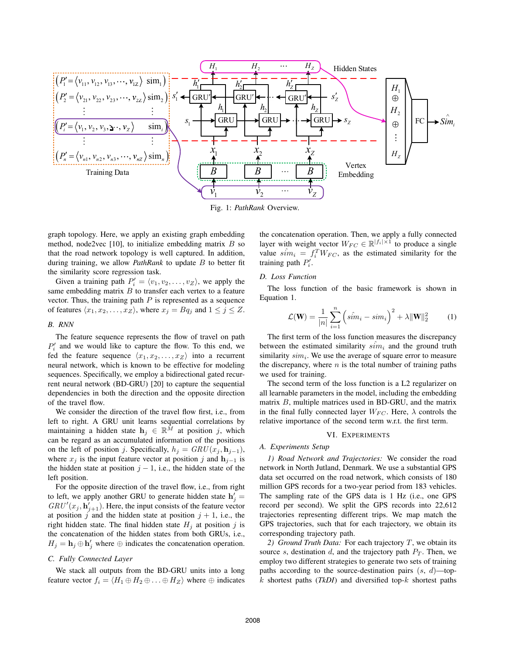

Fig. 1: *PathRank* Overview.

graph topology. Here, we apply an existing graph embedding method, node2vec  $[10]$ , to initialize embedding matrix  $B$  so that the road network topology is well captured. In addition, during training, we allow *PathRank* to update B to better fit the similarity score regression task.

Given a training path  $P'_i = \langle v_1, v_2, \dots, v_Z \rangle$ , we apply the same embedding matrix  $B$  to transfer each vertex to a feature vector. Thus, the training path  $P$  is represented as a sequence of features  $\langle x_1, x_2, \ldots, x_Z \rangle$ , where  $x_j = Bq_j$  and  $1 \leq j \leq Z$ .

## *B. RNN*

The feature sequence represents the flow of travel on path  $P'_i$  and we would like to capture the flow. To this end, we fed the feature sequence  $\langle x_1, x_2, \ldots, x_Z \rangle$  into a recurrent neural network, which is known to be effective for modeling sequences. Specifically, we employ a bidirectional gated recurrent neural network (BD-GRU) [20] to capture the sequential dependencies in both the direction and the opposite direction of the travel flow.

We consider the direction of the travel flow first, i.e., from left to right. A GRU unit learns sequential correlations by maintaining a hidden state  $\mathbf{h}_j \in \mathbb{R}^{\bar{M}}$  at position j, which can be regard as an accumulated information of the positions on the left of position j. Specifically,  $h_j = \frac{GRU(x_j, \mathbf{h}_{j-1})}{\sigma_j}$ , where  $x_j$  is the input feature vector at position j and  $\mathbf{h}_{j-1}$  is the hidden state at position  $j - 1$ , i.e., the hidden state of the left position.

For the opposite direction of the travel flow, i.e., from right to left, we apply another GRU to generate hidden state  $h'_j =$  $GRU'(x_j, h'_{j+1})$ . Here, the input consists of the feature vector at position j and the hidden state at position  $j + 1$ , i.e., the right hidden state. The final hidden state  $H_i$  at position j is the concatenation of the hidden states from both GRUs, i.e.,  $H_j = \mathbf{h}_j \oplus \mathbf{h}'_j$  where  $\oplus$  indicates the concatenation operation.

## *C. Fully Connected Layer*

We stack all outputs from the BD-GRU units into a long feature vector  $f_i = \langle H_1 \oplus H_2 \oplus \ldots \oplus H_Z \rangle$  where  $\oplus$  indicates the concatenation operation. Then, we apply a fully connected layer with weight vector  $W_{FC} \in \mathbb{R}^{|f_i| \times 1}$  to produce a single value  $\hat{sim}_i = f_i^T W_{FC}$ , as the estimated similarity for the training path  $P'_i$ .

## *D. Loss Function*

The loss function of the basic framework is shown in Equation 1.

$$
\mathcal{L}(\mathbf{W}) = \frac{1}{|n|} \sum_{i=1}^{n} \left( s\hat{i}m_i - sim_i \right)^2 + \lambda \|\mathbf{W}\|_2^2 \tag{1}
$$

The first term of the loss function measures the discrepancy between the estimated similarity  $sim_i$  and the ground truth similarity  $sim<sub>i</sub>$ . We use the average of square error to measure the discrepancy, where  $n$  is the total number of training paths we used for training.

The second term of the loss function is a L2 regularizer on all learnable parameters in the model, including the embedding matrix  $B$ , multiple matrices used in BD-GRU, and the matrix in the final fully connected layer  $W_{FC}$ . Here,  $\lambda$  controls the relative importance of the second term w.r.t. the first term.

## VI. EXPERIMENTS

## *A. Experiments Setup*

*1) Road Network and Trajectories:* We consider the road network in North Jutland, Denmark. We use a substantial GPS data set occurred on the road network, which consists of 180 million GPS records for a two-year period from 183 vehicles. The sampling rate of the GPS data is 1 Hz (i.e., one GPS record per second). We split the GPS records into 22,612 trajectories representing different trips. We map match the GPS trajectories, such that for each trajectory, we obtain its corresponding trajectory path.

*2) Ground Truth Data:* For each trajectory T, we obtain its source s, destination  $d$ , and the trajectory path  $P_T$ . Then, we employ two different strategies to generate two sets of training paths according to the source-destination pairs  $(s, d)$ —topk shortest paths (*TkDI*) and diversified top-k shortest paths